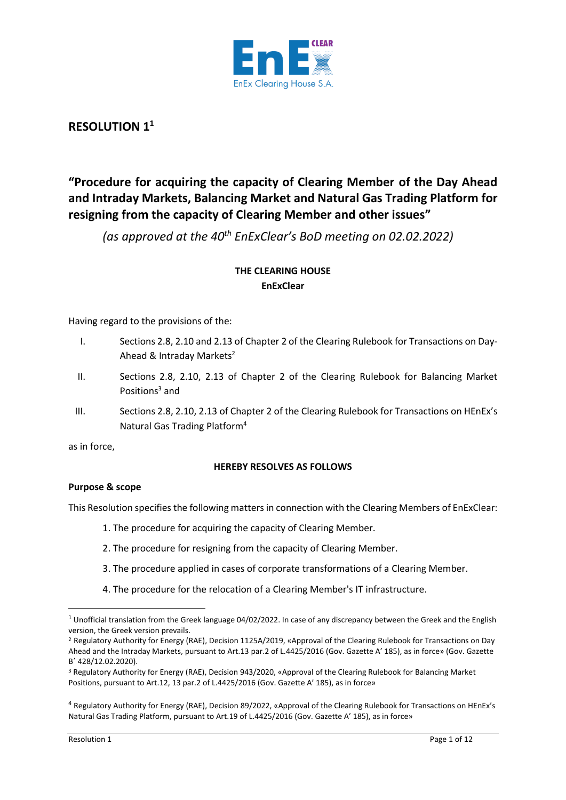

# **RESOLUTION 1<sup>1</sup>**

# **"Procedure for acquiring the capacity of Clearing Member of the Day Ahead and Intraday Markets, Balancing Market and Natural Gas Trading Platform for resigning from the capacity of Clearing Member and other issues"**

*(as approved at the 40th EnExClear's BoD meeting on 02.02.2022)*

## **THE CLEARING HOUSE EnExClear**

Having regard to the provisions of the:

- I. Sections 2.8, 2.10 and 2.13 of Chapter 2 of the Clearing Rulebook for Transactions on Day-Ahead & Intraday Markets<sup>2</sup>
- II. Sections 2.8, 2.10, 2.13 of Chapter 2 of the Clearing Rulebook for Balancing Market Positions<sup>3</sup> and
- III. Sections 2.8, 2.10, 2.13 of Chapter 2 of the Clearing Rulebook for Transactions on HEnEx's Natural Gas Trading Platform<sup>4</sup>

as in force,

## **HEREBY RESOLVES AS FOLLOWS**

## **Purpose & scope**

This Resolution specifies the following mattersin connection with the Clearing Members of EnExClear:

- 1. The procedure for acquiring the capacity of Clearing Member.
- 2. The procedure for resigning from the capacity of Clearing Member.
- 3. The procedure applied in cases of corporate transformations of a Clearing Member.
- 4. The procedure for the relocation of a Clearing Member's IT infrastructure.

<sup>&</sup>lt;sup>1</sup> Unofficial translation from the Greek language 04/02/2022. In case of any discrepancy between the Greek and the English version, the Greek version prevails.

<sup>2</sup> Regulatory Authority for Energy (RAE), Decision 1125A/2019, «Approval of the Clearing Rulebook for Transactions on Day Ahead and the Intraday Markets, pursuant to Art.13 par.2 of L.4425/2016 (Gov. Gazette Α' 185), as in force» (Gov. Gazette Β΄ 428/12.02.2020).

<sup>3</sup> Regulatory Authority for Energy (RAE), Decision 943/2020, «Approval of the Clearing Rulebook for Balancing Market Positions, pursuant to Art.12, 13 par.2 of L.4425/2016 (Gov. Gazette Α' 185), as in force»

<sup>4</sup> Regulatory Authority for Energy (RAE), Decision 89/2022, «Approval of the Clearing Rulebook for Transactions on HEnEx's Natural Gas Trading Platform, pursuant to Art.19 of L.4425/2016 (Gov. Gazette Α' 185), as in force»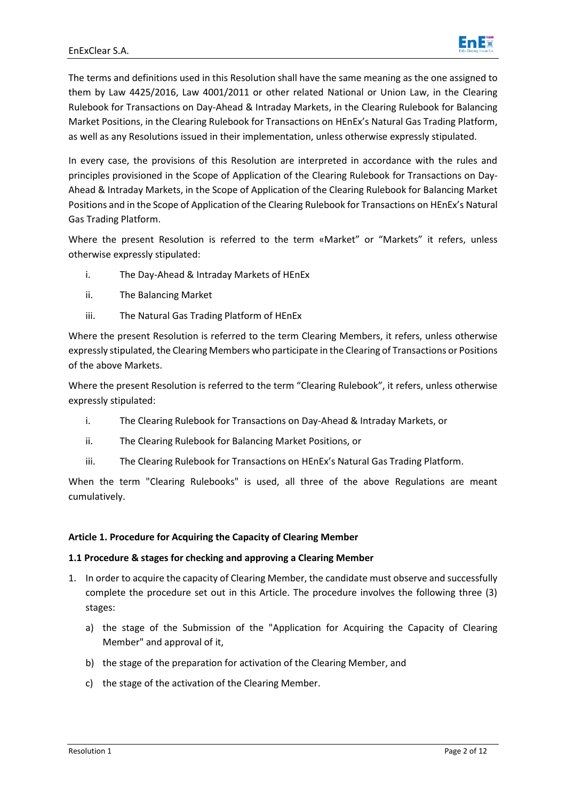

The terms and definitions used in this Resolution shall have the same meaning as the one assigned to them by Law 4425/2016, Law 4001/2011 or other related National or Union Law, in the Clearing Rulebook for Transactions on Day-Ahead & Intraday Markets, in the Clearing Rulebook for Balancing Market Positions, in the Clearing Rulebook for Transactions on HEnEx's Natural Gas Trading Platform, as well as any Resolutions issued in their implementation, unless otherwise expressly stipulated.

In every case, the provisions of this Resolution are interpreted in accordance with the rules and principles provisioned in the Scope of Application of the Clearing Rulebook for Transactions on Day-Ahead & Intraday Markets, in the Scope of Application of the Clearing Rulebook for Balancing Market Positions and in the Scope of Application of the Clearing Rulebook for Transactions on HEnEx's Natural Gas Trading Platform.

Where the present Resolution is referred to the term «Market" or "Markets" it refers, unless otherwise expressly stipulated:

- i. The Day-Ahead & Intraday Markets of HEnEx
- ii. The Balancing Market
- iii. The Natural Gas Trading Platform of HEnEx

Where the present Resolution is referred to the term Clearing Members, it refers, unless otherwise expressly stipulated, the Clearing Members who participate in the Clearing of Transactions or Positions of the above Markets.

Where the present Resolution is referred to the term "Clearing Rulebook", it refers, unless otherwise expressly stipulated:

- i. The Clearing Rulebook for Transactions on Day-Ahead & Intraday Markets, or
- ii. The Clearing Rulebook for Balancing Market Positions, or
- iii. The Clearing Rulebook for Transactions on HEnEx's Natural Gas Trading Platform.

When the term "Clearing Rulebooks" is used, all three of the above Regulations are meant cumulatively.

## **Article 1. Procedure for Acquiring the Capacity of Clearing Member**

## **1.1 Procedure & stages for checking and approving a Clearing Member**

- 1. In order to acquire the capacity of Clearing Member, the candidate must observe and successfully complete the procedure set out in this Article. The procedure involves the following three (3) stages:
	- a) the stage of the Submission of the "Application for Acquiring the Capacity of Clearing Member" and approval of it,
	- b) the stage of the preparation for activation of the Clearing Member, and
	- c) the stage of the activation of the Clearing Member.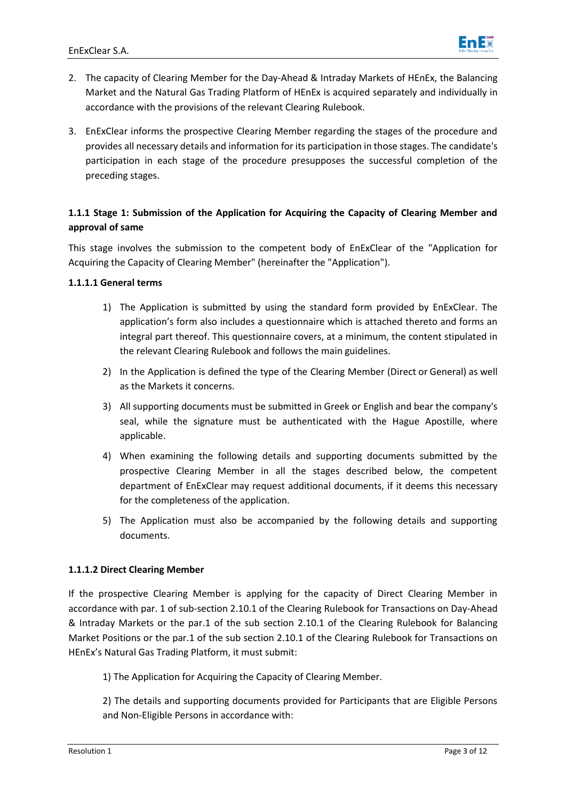

- 2. The capacity of Clearing Member for the Day-Ahead & Intraday Markets of HEnEx, the Balancing Market and the Natural Gas Trading Platform of HEnEx is acquired separately and individually in accordance with the provisions of the relevant Clearing Rulebook.
- 3. EnExClear informs the prospective Clearing Member regarding the stages of the procedure and provides all necessary details and information for its participation in those stages. The candidate's participation in each stage of the procedure presupposes the successful completion of the preceding stages.

## **1.1.1 Stage 1: Submission of the Application for Acquiring the Capacity of Clearing Member and approval of same**

This stage involves the submission to the competent body of EnExClear of the "Application for Acquiring the Capacity of Clearing Member" (hereinafter the "Application").

## **1.1.1.1 General terms**

- 1) The Application is submitted by using the standard form provided by EnExClear. The application's form also includes a questionnaire which is attached thereto and forms an integral part thereof. This questionnaire covers, at a minimum, the content stipulated in the relevant Clearing Rulebook and follows the main guidelines.
- 2) In the Application is defined the type of the Clearing Member (Direct or General) as well as the Markets it concerns.
- 3) All supporting documents must be submitted in Greek or English and bear the company's seal, while the signature must be authenticated with the Hague Apostille, where applicable.
- 4) When examining the following details and supporting documents submitted by the prospective Clearing Member in all the stages described below, the competent department of EnExClear may request additional documents, if it deems this necessary for the completeness of the application.
- 5) The Application must also be accompanied by the following details and supporting documents.

## **1.1.1.2 Direct Clearing Member**

If the prospective Clearing Member is applying for the capacity of Direct Clearing Member in accordance with par. 1 of sub-section 2.10.1 of the Clearing Rulebook for Transactions on Day-Ahead & Intraday Markets or the par.1 of the sub section 2.10.1 of the Clearing Rulebook for Balancing Market Positions or the par.1 of the sub section 2.10.1 of the Clearing Rulebook for Transactions on HEnEx's Natural Gas Trading Platform, it must submit:

1) The Application for Acquiring the Capacity of Clearing Member.

2) The details and supporting documents provided for Participants that are Eligible Persons and Non-Eligible Persons in accordance with: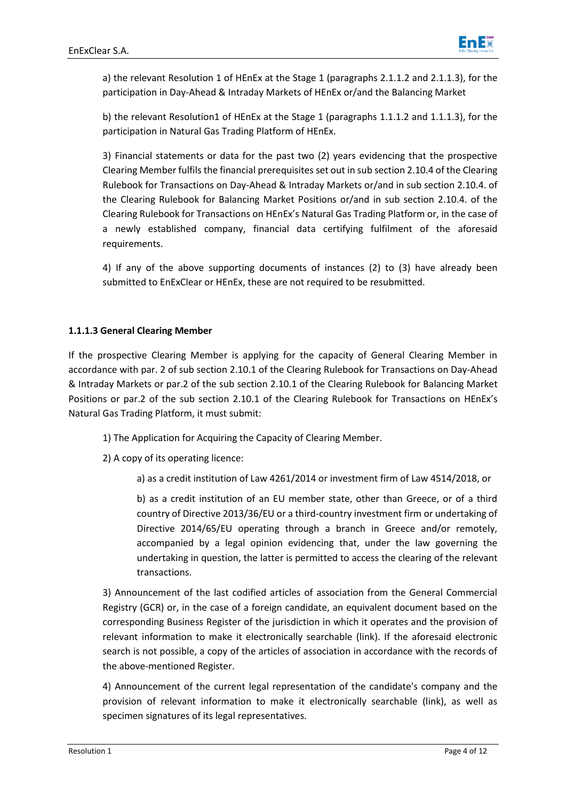

a) the relevant Resolution 1 of HEnEx at the Stage 1 (paragraphs 2.1.1.2 and 2.1.1.3), for the participation in Day-Ahead & Intraday Markets of HEnEx or/and the Balancing Market

b) the relevant Resolution1 of HEnEx at the Stage 1 (paragraphs 1.1.1.2 and 1.1.1.3), for the participation in Natural Gas Trading Platform of HEnEx.

3) Financial statements or data for the past two (2) years evidencing that the prospective Clearing Member fulfils the financial prerequisites set out in sub section 2.10.4 of the Clearing Rulebook for Transactions on Day-Ahead & Intraday Markets or/and in sub section 2.10.4. of the Clearing Rulebook for Balancing Market Positions or/and in sub section 2.10.4. of the Clearing Rulebook for Transactions on HEnEx's Natural Gas Trading Platform or, in the case of a newly established company, financial data certifying fulfilment of the aforesaid requirements.

4) If any of the above supporting documents of instances (2) to (3) have already been submitted to EnExClear or HEnEx, these are not required to be resubmitted.

## **1.1.1.3 General Clearing Member**

If the prospective Clearing Member is applying for the capacity of General Clearing Member in accordance with par. 2 of sub section 2.10.1 of the Clearing Rulebook for Transactions on Day-Ahead & Intraday Markets or par.2 of the sub section 2.10.1 of the Clearing Rulebook for Balancing Market Positions or par.2 of the sub section 2.10.1 of the Clearing Rulebook for Transactions on HEnEx's Natural Gas Trading Platform, it must submit:

1) The Application for Acquiring the Capacity of Clearing Member.

2) A copy of its operating licence:

a) as a credit institution of Law 4261/2014 or investment firm of Law 4514/2018, or

b) as a credit institution of an EU member state, other than Greece, or of a third country of Directive 2013/36/EU or a third-country investment firm or undertaking of Directive 2014/65/EU operating through a branch in Greece and/or remotely, accompanied by a legal opinion evidencing that, under the law governing the undertaking in question, the latter is permitted to access the clearing of the relevant transactions.

3) Announcement of the last codified articles of association from the General Commercial Registry (GCR) or, in the case of a foreign candidate, an equivalent document based on the corresponding Business Register of the jurisdiction in which it operates and the provision of relevant information to make it electronically searchable (link). If the aforesaid electronic search is not possible, a copy of the articles of association in accordance with the records of the above-mentioned Register.

4) Announcement of the current legal representation of the candidate's company and the provision of relevant information to make it electronically searchable (link), as well as specimen signatures of its legal representatives.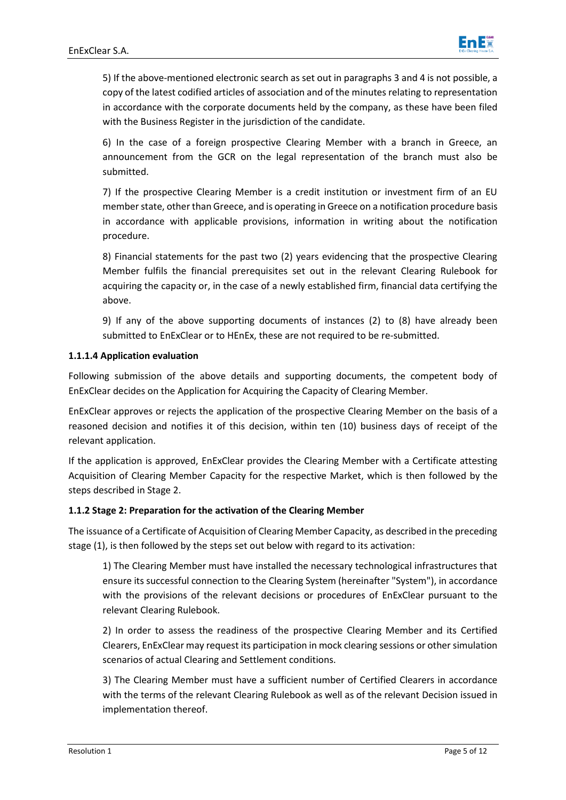

5) If the above-mentioned electronic search as set out in paragraphs 3 and 4 is not possible, a copy of the latest codified articles of association and of the minutes relating to representation in accordance with the corporate documents held by the company, as these have been filed with the Business Register in the jurisdiction of the candidate.

6) In the case of a foreign prospective Clearing Member with a branch in Greece, an announcement from the GCR on the legal representation of the branch must also be submitted.

7) If the prospective Clearing Member is a credit institution or investment firm of an EU member state, other than Greece, and is operating in Greece on a notification procedure basis in accordance with applicable provisions, information in writing about the notification procedure.

8) Financial statements for the past two (2) years evidencing that the prospective Clearing Member fulfils the financial prerequisites set out in the relevant Clearing Rulebook for acquiring the capacity or, in the case of a newly established firm, financial data certifying the above.

9) If any of the above supporting documents of instances (2) to (8) have already been submitted to EnExClear or to HEnEx, these are not required to be re-submitted.

## **1.1.1.4 Application evaluation**

Following submission of the above details and supporting documents, the competent body of EnExClear decides on the Application for Acquiring the Capacity of Clearing Member.

EnExClear approves or rejects the application of the prospective Clearing Member on the basis of a reasoned decision and notifies it of this decision, within ten (10) business days of receipt of the relevant application.

If the application is approved, EnExClear provides the Clearing Member with a Certificate attesting Acquisition of Clearing Member Capacity for the respective Market, which is then followed by the steps described in Stage 2.

#### **1.1.2 Stage 2: Preparation for the activation of the Clearing Member**

The issuance of a Certificate of Acquisition of Clearing Member Capacity, as described in the preceding stage (1), is then followed by the steps set out below with regard to its activation:

1) The Clearing Member must have installed the necessary technological infrastructures that ensure its successful connection to the Clearing System (hereinafter "System"), in accordance with the provisions of the relevant decisions or procedures of EnExClear pursuant to the relevant Clearing Rulebook.

2) In order to assess the readiness of the prospective Clearing Member and its Certified Clearers, EnExClear may request its participation in mock clearing sessions or other simulation scenarios of actual Clearing and Settlement conditions.

3) The Clearing Member must have a sufficient number of Certified Clearers in accordance with the terms of the relevant Clearing Rulebook as well as of the relevant Decision issued in implementation thereof.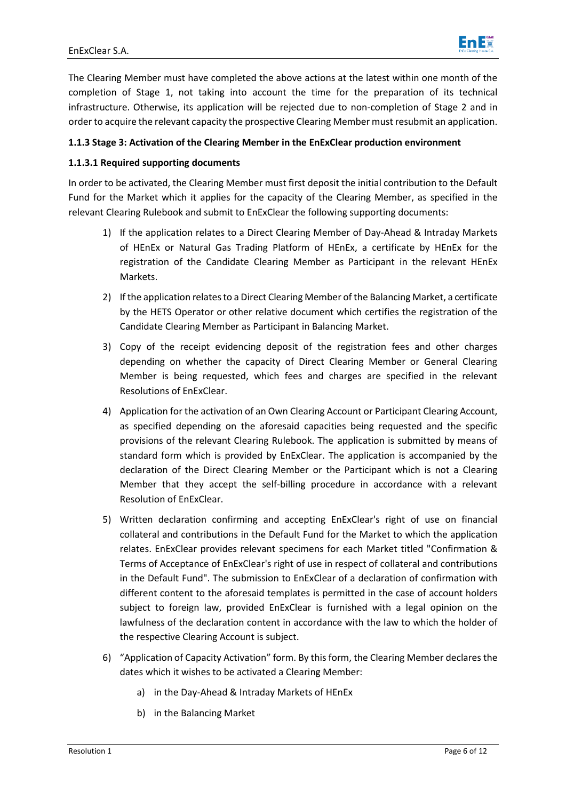

The Clearing Member must have completed the above actions at the latest within one month of the completion of Stage 1, not taking into account the time for the preparation of its technical infrastructure. Otherwise, its application will be rejected due to non-completion of Stage 2 and in order to acquire the relevant capacity the prospective Clearing Member must resubmit an application.

## **1.1.3 Stage 3: Activation of the Clearing Member in the EnExClear production environment**

## **1.1.3.1 Required supporting documents**

In order to be activated, the Clearing Member must first deposit the initial contribution to the Default Fund for the Market which it applies for the capacity of the Clearing Member, as specified in the relevant Clearing Rulebook and submit to EnExClear the following supporting documents:

- 1) If the application relates to a Direct Clearing Member of Day-Ahead & Intraday Markets of HEnEx or Natural Gas Trading Platform of HEnEx, a certificate by HEnEx for the registration of the Candidate Clearing Member as Participant in the relevant HEnEx Markets.
- 2) If the application relates to a Direct Clearing Member of the Balancing Market, a certificate by the HETS Operator or other relative document which certifies the registration of the Candidate Clearing Member as Participant in Balancing Market.
- 3) Copy of the receipt evidencing deposit of the registration fees and other charges depending on whether the capacity of Direct Clearing Member or General Clearing Member is being requested, which fees and charges are specified in the relevant Resolutions of EnExClear.
- 4) Application for the activation of an Own Clearing Account or Participant Clearing Account, as specified depending on the aforesaid capacities being requested and the specific provisions of the relevant Clearing Rulebook. The application is submitted by means of standard form which is provided by EnExClear. The application is accompanied by the declaration of the Direct Clearing Member or the Participant which is not a Clearing Member that they accept the self-billing procedure in accordance with a relevant Resolution of EnExClear.
- 5) Written declaration confirming and accepting EnExClear's right of use on financial collateral and contributions in the Default Fund for the Market to which the application relates. EnExClear provides relevant specimens for each Market titled "Confirmation & Terms of Acceptance of EnExClear's right of use in respect of collateral and contributions in the Default Fund". The submission to EnExClear of a declaration of confirmation with different content to the aforesaid templates is permitted in the case of account holders subject to foreign law, provided EnExClear is furnished with a legal opinion on the lawfulness of the declaration content in accordance with the law to which the holder of the respective Clearing Account is subject.
- 6) "Application of Capacity Activation" form. By this form, the Clearing Member declares the dates which it wishes to be activated a Clearing Member:
	- a) in the Day-Ahead & Intraday Markets of HEnEx
	- b) in the Balancing Market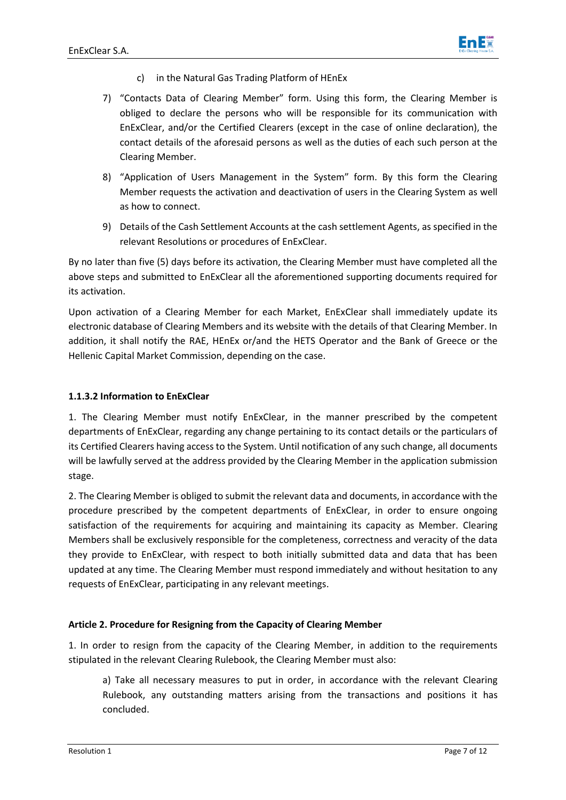

- c) in the Natural Gas Trading Platform of HEnEx
- 7) "Contacts Data of Clearing Member" form. Using this form, the Clearing Member is obliged to declare the persons who will be responsible for its communication with EnExClear, and/or the Certified Clearers (except in the case of online declaration), the contact details of the aforesaid persons as well as the duties of each such person at the Clearing Member.
- 8) "Application of Users Management in the System" form. By this form the Clearing Member requests the activation and deactivation of users in the Clearing System as well as how to connect.
- 9) Details of the Cash Settlement Accounts at the cash settlement Agents, as specified in the relevant Resolutions or procedures of EnExClear.

By no later than five (5) days before its activation, the Clearing Member must have completed all the above steps and submitted to EnExClear all the aforementioned supporting documents required for its activation.

Upon activation of a Clearing Member for each Market, EnExClear shall immediately update its electronic database of Clearing Members and its website with the details of that Clearing Member. In addition, it shall notify the RAE, HEnEx or/and the HETS Operator and the Bank of Greece or the Hellenic Capital Μarket Commission, depending on the case.

## **1.1.3.2 Information to EnExClear**

1. The Clearing Member must notify EnExClear, in the manner prescribed by the competent departments of EnExClear, regarding any change pertaining to its contact details or the particulars of its Certified Clearers having access to the System. Until notification of any such change, all documents will be lawfully served at the address provided by the Clearing Member in the application submission stage.

2. The Clearing Member is obliged to submit the relevant data and documents, in accordance with the procedure prescribed by the competent departments of EnExClear, in order to ensure ongoing satisfaction of the requirements for acquiring and maintaining its capacity as Member. Clearing Members shall be exclusively responsible for the completeness, correctness and veracity of the data they provide to EnExClear, with respect to both initially submitted data and data that has been updated at any time. The Clearing Member must respond immediately and without hesitation to any requests of EnExClear, participating in any relevant meetings.

#### **Article 2. Procedure for Resigning from the Capacity of Clearing Member**

1. In order to resign from the capacity of the Clearing Member, in addition to the requirements stipulated in the relevant Clearing Rulebook, the Clearing Member must also:

a) Take all necessary measures to put in order, in accordance with the relevant Clearing Rulebook, any outstanding matters arising from the transactions and positions it has concluded.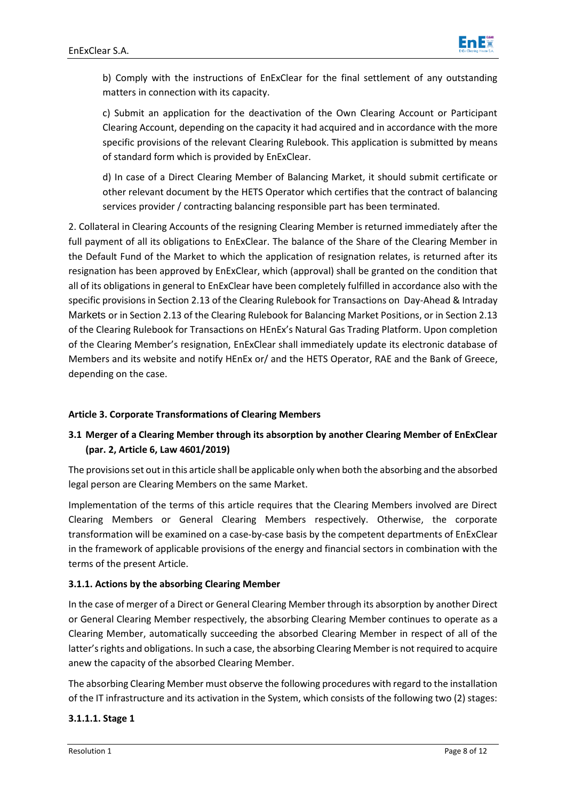

b) Comply with the instructions of EnExClear for the final settlement of any outstanding matters in connection with its capacity.

c) Submit an application for the deactivation of the Own Clearing Account or Participant Clearing Account, depending on the capacity it had acquired and in accordance with the more specific provisions of the relevant Clearing Rulebook. This application is submitted by means of standard form which is provided by EnExClear.

d) In case of a Direct Clearing Member of Balancing Market, it should submit certificate or other relevant document by the HETS Operator which certifies that the contract of balancing services provider / contracting balancing responsible part has been terminated.

2. Collateral in Clearing Accounts of the resigning Clearing Member is returned immediately after the full payment of all its obligations to EnExClear. The balance of the Share of the Clearing Member in the Default Fund of the Market to which the application of resignation relates, is returned after its resignation has been approved by EnExClear, which (approval) shall be granted on the condition that all of its obligations in general to EnExClear have been completely fulfilled in accordance also with the specific provisions in Section 2.13 of the Clearing Rulebook for Transactions on Day-Ahead & Intraday Markets or in Section 2.13 of the Clearing Rulebook for Balancing Market Positions, or in Section 2.13 of the Clearing Rulebook for Transactions on HEnEx's Natural Gas Trading Platform. Upon completion of the Clearing Member's resignation, EnExClear shall immediately update its electronic database of Members and its website and notify HEnEx or/ and the HETS Operator, RAE and the Bank of Greece, depending on the case.

## **Article 3. Corporate Transformations of Clearing Members**

## **3.1 Merger of a Clearing Member through its absorption by another Clearing Member of EnExClear (par. 2, Article 6, Law 4601/2019)**

The provisions set out in this article shall be applicable only when both the absorbing and the absorbed legal person are Clearing Members on the same Market.

Implementation of the terms of this article requires that the Clearing Members involved are Direct Clearing Members or General Clearing Members respectively. Otherwise, the corporate transformation will be examined on a case-by-case basis by the competent departments of EnExClear in the framework of applicable provisions of the energy and financial sectors in combination with the terms of the present Article.

#### **3.1.1. Actions by the absorbing Clearing Member**

In the case of merger of a Direct or General Clearing Member through its absorption by another Direct or General Clearing Member respectively, the absorbing Clearing Member continues to operate as a Clearing Member, automatically succeeding the absorbed Clearing Member in respect of all of the latter's rights and obligations. In such a case, the absorbing Clearing Member is not required to acquire anew the capacity of the absorbed Clearing Member.

The absorbing Clearing Member must observe the following procedures with regard to the installation of the IT infrastructure and its activation in the System, which consists of the following two (2) stages:

## **3.1.1.1. Stage 1**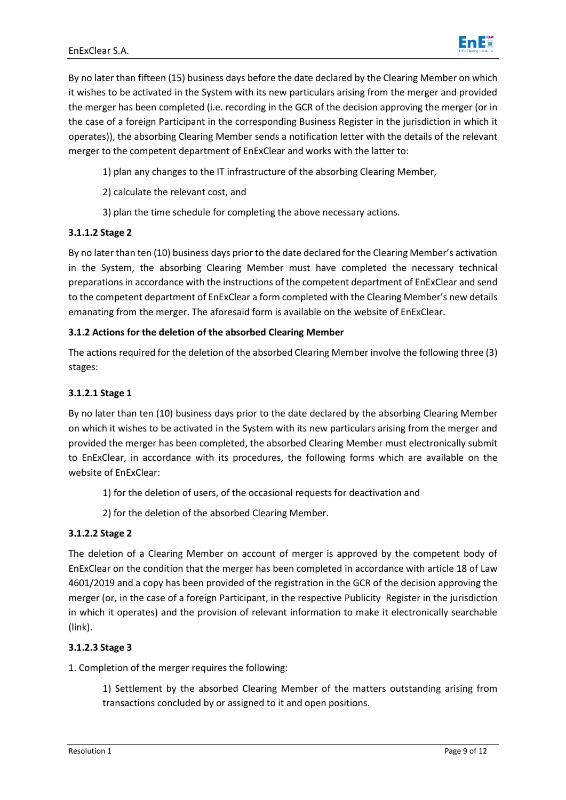

By no later than fifteen (15) business days before the date declared by the Clearing Member on which it wishes to be activated in the System with its new particulars arising from the merger and provided the merger has been completed (i.e. recording in the GCR of the decision approving the merger (or in the case of a foreign Participant in the corresponding Business Register in the jurisdiction in which it operates)), the absorbing Clearing Member sends a notification letter with the details of the relevant merger to the competent department of EnExClear and works with the latter to:

- 1) plan any changes to the IT infrastructure of the absorbing Clearing Member,
- 2) calculate the relevant cost, and
- 3) plan the time schedule for completing the above necessary actions.

## **3.1.1.2 Stage 2**

By no later than ten (10) business days prior to the date declared for the Clearing Member's activation in the System, the absorbing Clearing Member must have completed the necessary technical preparations in accordance with the instructions of the competent department of EnExClear and send to the competent department of EnExClear a form completed with the Clearing Member's new details emanating from the merger. The aforesaid form is available on the website of EnExClear.

## **3.1.2 Actions for the deletion of the absorbed Clearing Member**

The actions required for the deletion of the absorbed Clearing Member involve the following three (3) stages:

## **3.1.2.1 Stage 1**

By no later than ten (10) business days prior to the date declared by the absorbing Clearing Member on which it wishes to be activated in the System with its new particulars arising from the merger and provided the merger has been completed, the absorbed Clearing Member must electronically submit to EnExClear, in accordance with its procedures, the following forms which are available on the website of EnExClear:

- 1) for the deletion of users, of the occasional requests for deactivation and
- 2) for the deletion of the absorbed Clearing Member.

## **3.1.2.2 Stage 2**

The deletion of a Clearing Member on account of merger is approved by the competent body of EnExClear on the condition that the merger has been completed in accordance with article 18 of Law 4601/2019 and a copy has been provided of the registration in the GCR of the decision approving the merger (or, in the case of a foreign Participant, in the respective Publicity Register in the jurisdiction in which it operates) and the provision of relevant information to make it electronically searchable (link).

## **3.1.2.3 Stage 3**

1. Completion of the merger requires the following:

1) Settlement by the absorbed Clearing Member of the matters outstanding arising from transactions concluded by or assigned to it and open positions.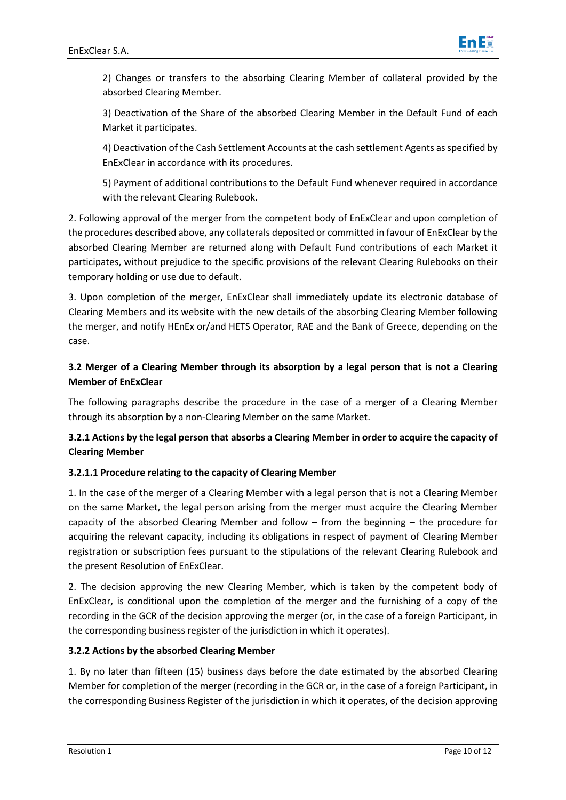

2) Changes or transfers to the absorbing Clearing Member of collateral provided by the absorbed Clearing Member.

3) Deactivation of the Share of the absorbed Clearing Member in the Default Fund of each Market it participates.

4) Deactivation of the Cash Settlement Accounts at the cash settlement Agents as specified by EnExClear in accordance with its procedures.

5) Payment of additional contributions to the Default Fund whenever required in accordance with the relevant Clearing Rulebook.

2. Following approval of the merger from the competent body of EnExClear and upon completion of the procedures described above, any collaterals deposited or committed in favour of EnExClear by the absorbed Clearing Member are returned along with Default Fund contributions of each Market it participates, without prejudice to the specific provisions of the relevant Clearing Rulebooks on their temporary holding or use due to default.

3. Upon completion of the merger, EnExClear shall immediately update its electronic database of Clearing Members and its website with the new details of the absorbing Clearing Member following the merger, and notify HEnEx or/and HETS Operator, RAE and the Bank of Greece, depending on the case.

## **3.2 Merger of a Clearing Member through its absorption by a legal person that is not a Clearing Member of EnExClear**

The following paragraphs describe the procedure in the case of a merger of a Clearing Member through its absorption by a non-Clearing Member on the same Market.

## **3.2.1 Actions by the legal person that absorbs a Clearing Member in order to acquire the capacity of Clearing Member**

## **3.2.1.1 Procedure relating to the capacity of Clearing Member**

1. In the case of the merger of a Clearing Member with a legal person that is not a Clearing Member on the same Market, the legal person arising from the merger must acquire the Clearing Member capacity of the absorbed Clearing Member and follow – from the beginning – the procedure for acquiring the relevant capacity, including its obligations in respect of payment of Clearing Member registration or subscription fees pursuant to the stipulations of the relevant Clearing Rulebook and the present Resolution of EnExClear.

2. The decision approving the new Clearing Member, which is taken by the competent body of EnExClear, is conditional upon the completion of the merger and the furnishing of a copy of the recording in the GCR of the decision approving the merger (or, in the case of a foreign Participant, in the corresponding business register of the jurisdiction in which it operates).

## **3.2.2 Actions by the absorbed Clearing Member**

1. By no later than fifteen (15) business days before the date estimated by the absorbed Clearing Member for completion of the merger (recording in the GCR or, in the case of a foreign Participant, in the corresponding Business Register of the jurisdiction in which it operates, of the decision approving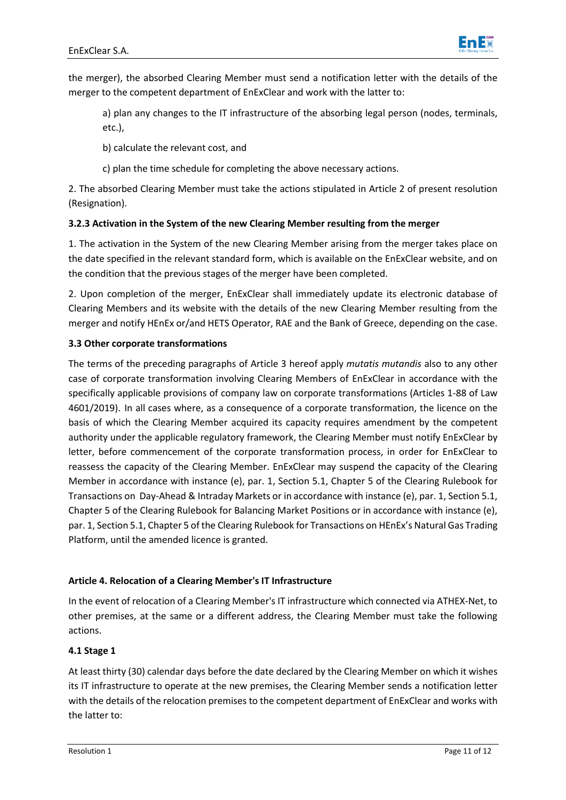

the merger), the absorbed Clearing Member must send a notification letter with the details of the merger to the competent department of EnExClear and work with the latter to:

a) plan any changes to the IT infrastructure of the absorbing legal person (nodes, terminals, etc.),

b) calculate the relevant cost, and

c) plan the time schedule for completing the above necessary actions.

2. The absorbed Clearing Member must take the actions stipulated in Article 2 of present resolution (Resignation).

## **3.2.3 Activation in the System of the new Clearing Member resulting from the merger**

1. The activation in the System of the new Clearing Member arising from the merger takes place on the date specified in the relevant standard form, which is available on the EnExClear website, and on the condition that the previous stages of the merger have been completed.

2. Upon completion of the merger, EnExClear shall immediately update its electronic database of Clearing Members and its website with the details of the new Clearing Member resulting from the merger and notify HEnEx or/and HETS Operator, RAE and the Bank of Greece, depending on the case.

## **3.3 Other corporate transformations**

The terms of the preceding paragraphs of Article 3 hereof apply *mutatis mutandis* also to any other case of corporate transformation involving Clearing Members of EnExClear in accordance with the specifically applicable provisions of company law on corporate transformations (Articles 1-88 of Law 4601/2019). In all cases where, as a consequence of a corporate transformation, the licence on the basis of which the Clearing Member acquired its capacity requires amendment by the competent authority under the applicable regulatory framework, the Clearing Member must notify EnExClear by letter, before commencement of the corporate transformation process, in order for EnExClear to reassess the capacity of the Clearing Member. EnExClear may suspend the capacity of the Clearing Member in accordance with instance (e), par. 1, Section 5.1, Chapter 5 of the Clearing Rulebook for Transactions on Day-Ahead & Intraday Markets or in accordance with instance (e), par. 1, Section 5.1, Chapter 5 of the Clearing Rulebook for Balancing Market Positions or in accordance with instance (e), par. 1, Section 5.1, Chapter 5 of the Clearing Rulebook for Transactions on HEnEx's Natural Gas Trading Platform, until the amended licence is granted.

## **Article 4. Relocation of a Clearing Member's IT Infrastructure**

In the event of relocation of a Clearing Member's IT infrastructure which connected via ATHEX-Net, to other premises, at the same or a different address, the Clearing Member must take the following actions.

## **4.1 Stage 1**

At least thirty (30) calendar days before the date declared by the Clearing Member on which it wishes its IT infrastructure to operate at the new premises, the Clearing Member sends a notification letter with the details of the relocation premises to the competent department of EnExClear and works with the latter to: